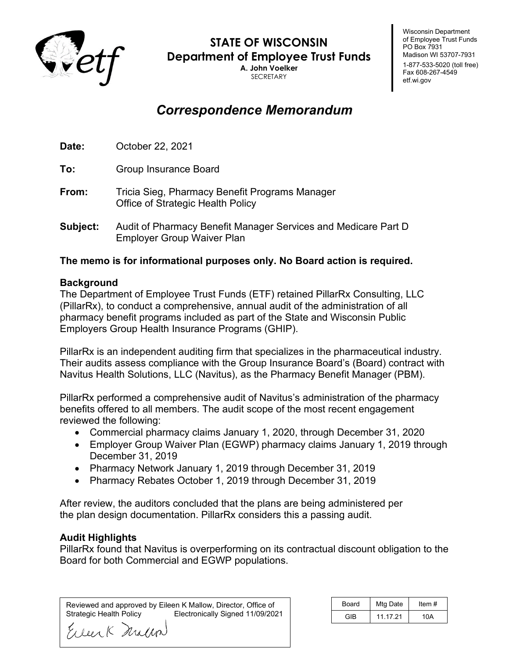

**STATE OF WISCONSIN Department of Employee Trust Funds**

**A. John Voelker** SECRETARY

# *Correspondence Memorandum*

**Date:** October 22, 2021

**To:** Group Insurance Board

- **From:** Tricia Sieg, Pharmacy Benefit Programs Manager Office of Strategic Health Policy
- **Subject:** Audit of Pharmacy Benefit Manager Services and Medicare Part D Employer Group Waiver Plan

### **The memo is for informational purposes only. No Board action is required.**

#### **Background**

The Department of Employee Trust Funds (ETF) retained PillarRx Consulting, LLC (PillarRx), to conduct a comprehensive, annual audit of the administration of all pharmacy benefit programs included as part of the State and Wisconsin Public Employers Group Health Insurance Programs (GHIP).

PillarRx is an independent auditing firm that specializes in the pharmaceutical industry. Their audits assess compliance with the Group Insurance Board's (Board) contract with Navitus Health Solutions, LLC (Navitus), as the Pharmacy Benefit Manager (PBM).

PillarRx performed a comprehensive audit of Navitus's administration of the pharmacy benefits offered to all members. The audit scope of the most recent engagement reviewed the following:

- Commercial pharmacy claims January 1, 2020, through December 31, 2020
- Employer Group Waiver Plan (EGWP) pharmacy claims January 1, 2019 through December 31, 2019
- Pharmacy Network January 1, 2019 through December 31, 2019
- Pharmacy Rebates October 1, 2019 through December 31, 2019

After review, the auditors concluded that the plans are being administered per the plan design documentation. PillarRx considers this a passing audit.

#### **Audit Highlights**

PillarRx found that Navitus is overperforming on its contractual discount obligation to the Board for both Commercial and EGWP populations.

Reviewed and approved by Eileen K Mallow, Director, Office of Electronically Signed 11/09/2021

| <b>Board</b> | Mtg Date | Item $#$ |
|--------------|----------|----------|
| GIB          | 11.17.21 | 10A      |

Wisconsin Department of Employee Trust Funds

Madison WI 53707-7931 1-877-533-5020 (toll free) Fax 608-267-4549 etf.wi.gov

PO Box 7931

Eller K Millin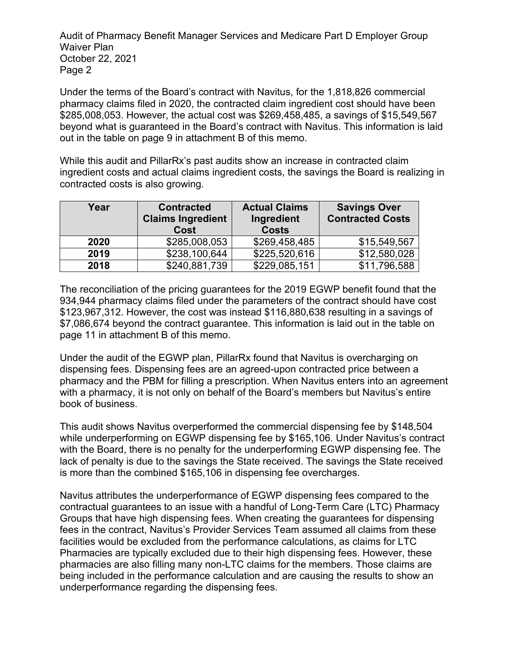Audit of Pharmacy Benefit Manager Services and Medicare Part D Employer Group Waiver Plan October 22, 2021 Page 2

Under the terms of the Board's contract with Navitus, for the 1,818,826 commercial pharmacy claims filed in 2020, the contracted claim ingredient cost should have been \$285,008,053. However, the actual cost was \$269,458,485, a savings of \$15,549,567 beyond what is guaranteed in the Board's contract with Navitus. This information is laid out in the table on page 9 in attachment B of this memo.

While this audit and PillarRx's past audits show an increase in contracted claim ingredient costs and actual claims ingredient costs, the savings the Board is realizing in contracted costs is also growing.

| Year | <b>Contracted</b><br><b>Claims Ingredient</b><br>Cost | <b>Actual Claims</b><br>Ingredient<br><b>Costs</b> | <b>Savings Over</b><br><b>Contracted Costs</b> |
|------|-------------------------------------------------------|----------------------------------------------------|------------------------------------------------|
| 2020 | \$285,008,053                                         | \$269,458,485                                      | \$15,549,567                                   |
| 2019 | \$238,100,644                                         | \$225,520,616                                      | \$12,580,028                                   |
| 2018 | \$240,881,739                                         | \$229,085,151                                      | \$11,796,588                                   |

The reconciliation of the pricing guarantees for the 2019 EGWP benefit found that the 934,944 pharmacy claims filed under the parameters of the contract should have cost \$123,967,312. However, the cost was instead \$116,880,638 resulting in a savings of \$7,086,674 beyond the contract guarantee. This information is laid out in the table on page 11 in attachment B of this memo.

Under the audit of the EGWP plan, PillarRx found that Navitus is overcharging on dispensing fees. Dispensing fees are an agreed-upon contracted price between a pharmacy and the PBM for filling a prescription. When Navitus enters into an agreement with a pharmacy, it is not only on behalf of the Board's members but Navitus's entire book of business.

This audit shows Navitus overperformed the commercial dispensing fee by \$148,504 while underperforming on EGWP dispensing fee by \$165,106. Under Navitus's contract with the Board, there is no penalty for the underperforming EGWP dispensing fee. The lack of penalty is due to the savings the State received. The savings the State received is more than the combined \$165,106 in dispensing fee overcharges.

Navitus attributes the underperformance of EGWP dispensing fees compared to the contractual guarantees to an issue with a handful of Long-Term Care (LTC) Pharmacy Groups that have high dispensing fees. When creating the guarantees for dispensing fees in the contract, Navitus's Provider Services Team assumed all claims from these facilities would be excluded from the performance calculations, as claims for LTC Pharmacies are typically excluded due to their high dispensing fees. However, these pharmacies are also filling many non-LTC claims for the members. Those claims are being included in the performance calculation and are causing the results to show an underperformance regarding the dispensing fees.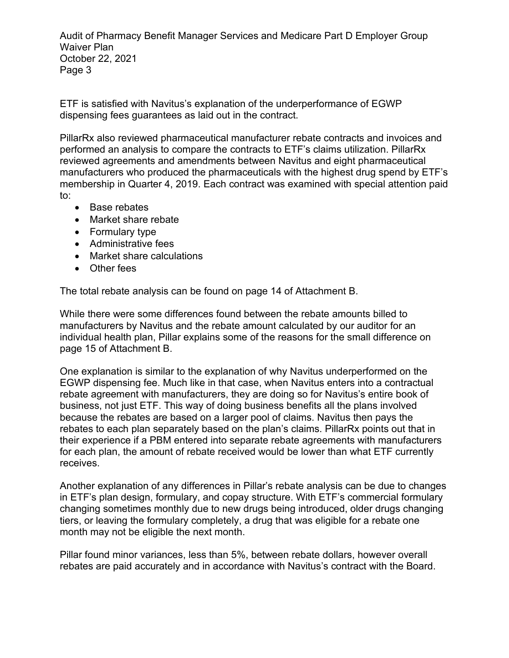Audit of Pharmacy Benefit Manager Services and Medicare Part D Employer Group Waiver Plan October 22, 2021 Page 3

ETF is satisfied with Navitus's explanation of the underperformance of EGWP dispensing fees guarantees as laid out in the contract.

PillarRx also reviewed pharmaceutical manufacturer rebate contracts and invoices and performed an analysis to compare the contracts to ETF's claims utilization. PillarRx reviewed agreements and amendments between Navitus and eight pharmaceutical manufacturers who produced the pharmaceuticals with the highest drug spend by ETF's membership in Quarter 4, 2019. Each contract was examined with special attention paid to:

- Base rebates
- Market share rebate
- Formulary type
- Administrative fees
- Market share calculations
- Other fees

The total rebate analysis can be found on page 14 of Attachment B.

While there were some differences found between the rebate amounts billed to manufacturers by Navitus and the rebate amount calculated by our auditor for an individual health plan, Pillar explains some of the reasons for the small difference on page 15 of Attachment B.

One explanation is similar to the explanation of why Navitus underperformed on the EGWP dispensing fee. Much like in that case, when Navitus enters into a contractual rebate agreement with manufacturers, they are doing so for Navitus's entire book of business, not just ETF. This way of doing business benefits all the plans involved because the rebates are based on a larger pool of claims. Navitus then pays the rebates to each plan separately based on the plan's claims. PillarRx points out that in their experience if a PBM entered into separate rebate agreements with manufacturers for each plan, the amount of rebate received would be lower than what ETF currently receives.

Another explanation of any differences in Pillar's rebate analysis can be due to changes in ETF's plan design, formulary, and copay structure. With ETF's commercial formulary changing sometimes monthly due to new drugs being introduced, older drugs changing tiers, or leaving the formulary completely, a drug that was eligible for a rebate one month may not be eligible the next month.

Pillar found minor variances, less than 5%, between rebate dollars, however overall rebates are paid accurately and in accordance with Navitus's contract with the Board.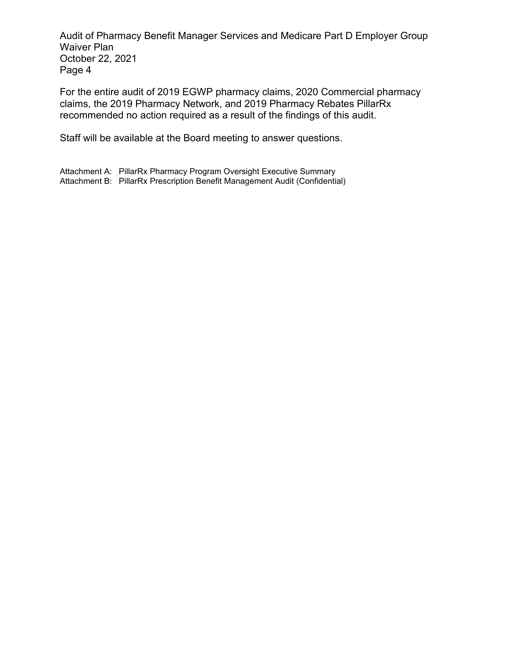Audit of Pharmacy Benefit Manager Services and Medicare Part D Employer Group Waiver Plan October 22, 2021 Page 4

For the entire audit of 2019 EGWP pharmacy claims, 2020 Commercial pharmacy claims, the 2019 Pharmacy Network, and 2019 Pharmacy Rebates PillarRx recommended no action required as a result of the findings of this audit.

Staff will be available at the Board meeting to answer questions.

Attachment A: PillarRx Pharmacy Program Oversight Executive Summary Attachment B: PillarRx Prescription Benefit Management Audit (Confidential)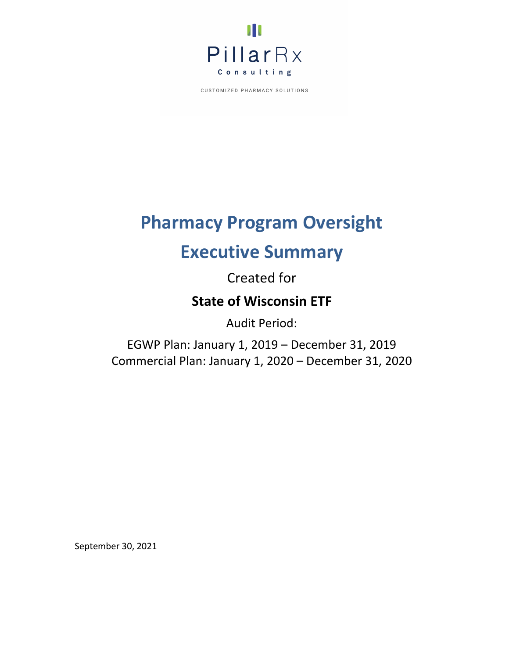

# **Pharmacy Program Oversight**

# **Executive Summary**

Created for

# **State of Wisconsin ETF**

Audit Period:

EGWP Plan: January 1, 2019 – December 31, 2019 Commercial Plan: January 1, 2020 – December 31, 2020

September 30, 2021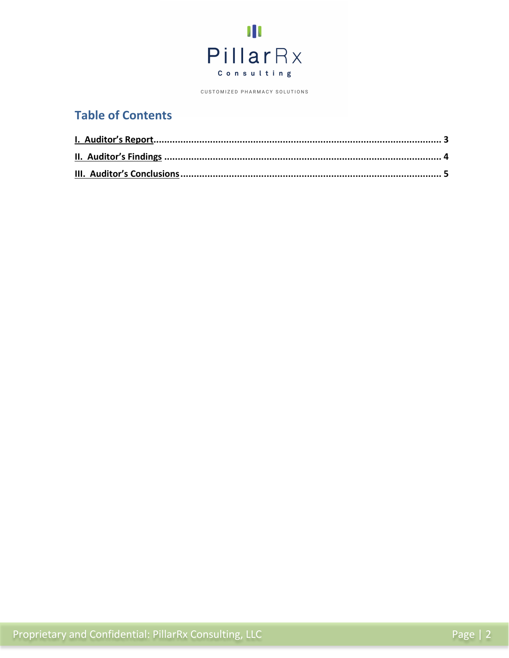

# **Table of Contents**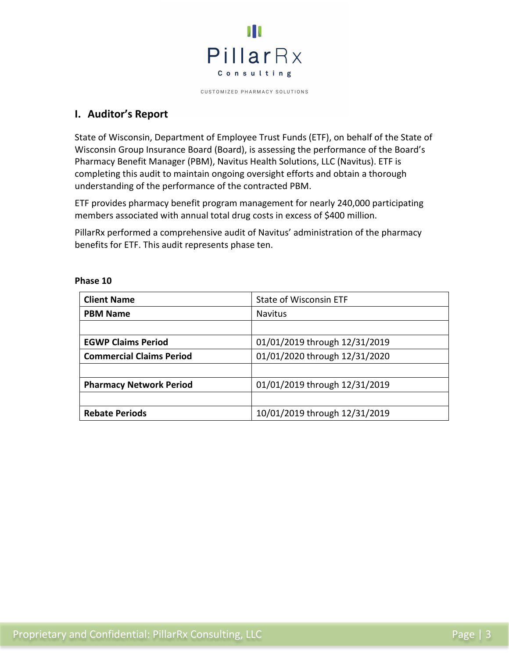

# **I. Auditor's Report**

State of Wisconsin, Department of Employee Trust Funds (ETF), on behalf of the State of Wisconsin Group Insurance Board (Board), is assessing the performance of the Board's Pharmacy Benefit Manager (PBM), Navitus Health Solutions, LLC (Navitus). ETF is completing this audit to maintain ongoing oversight efforts and obtain a thorough understanding of the performance of the contracted PBM.

ETF provides pharmacy benefit program management for nearly 240,000 participating members associated with annual total drug costs in excess of \$400 million.

PillarRx performed a comprehensive audit of Navitus' administration of the pharmacy benefits for ETF. This audit represents phase ten.

| <b>Client Name</b>              | <b>State of Wisconsin ETF</b> |  |
|---------------------------------|-------------------------------|--|
| <b>PBM Name</b>                 | <b>Navitus</b>                |  |
|                                 |                               |  |
| <b>EGWP Claims Period</b>       | 01/01/2019 through 12/31/2019 |  |
| <b>Commercial Claims Period</b> | 01/01/2020 through 12/31/2020 |  |
|                                 |                               |  |
| <b>Pharmacy Network Period</b>  | 01/01/2019 through 12/31/2019 |  |
|                                 |                               |  |
| <b>Rebate Periods</b>           | 10/01/2019 through 12/31/2019 |  |

#### **Phase 10**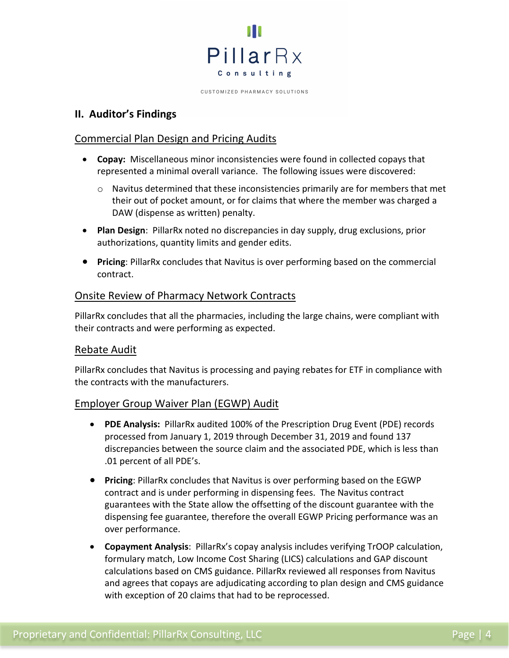

## <span id="page-7-0"></span>**II. Auditor's Findings**

## Commercial Plan Design and Pricing Audits

- **Copay:** Miscellaneous minor inconsistencies were found in collected copays that represented a minimal overall variance. The following issues were discovered:
	- $\circ$  Navitus determined that these inconsistencies primarily are for members that met their out of pocket amount, or for claims that where the member was charged a DAW (dispense as written) penalty.
- **Plan Design**: PillarRx noted no discrepancies in day supply, drug exclusions, prior authorizations, quantity limits and gender edits.
- **Pricing**: PillarRx concludes that Navitus is over performing based on the commercial contract.

### Onsite Review of Pharmacy Network Contracts

PillarRx concludes that all the pharmacies, including the large chains, were compliant with their contracts and were performing as expected.

#### Rebate Audit

PillarRx concludes that Navitus is processing and paying rebates for ETF in compliance with the contracts with the manufacturers.

## Employer Group Waiver Plan (EGWP) Audit

- **PDE Analysis:** PillarRx audited 100% of the Prescription Drug Event (PDE) records processed from January 1, 2019 through December 31, 2019 and found 137 discrepancies between the source claim and the associated PDE, which is less than .01 percent of all PDE's.
- **Pricing**: PillarRx concludes that Navitus is over performing based on the EGWP contract and is under performing in dispensing fees. The Navitus contract guarantees with the State allow the offsetting of the discount guarantee with the dispensing fee guarantee, therefore the overall EGWP Pricing performance was an over performance.
- **Copayment Analysis**: PillarRx's copay analysis includes verifying TrOOP calculation, formulary match, Low Income Cost Sharing (LICS) calculations and GAP discount calculations based on CMS guidance. PillarRx reviewed all responses from Navitus and agrees that copays are adjudicating according to plan design and CMS guidance with exception of 20 claims that had to be reprocessed.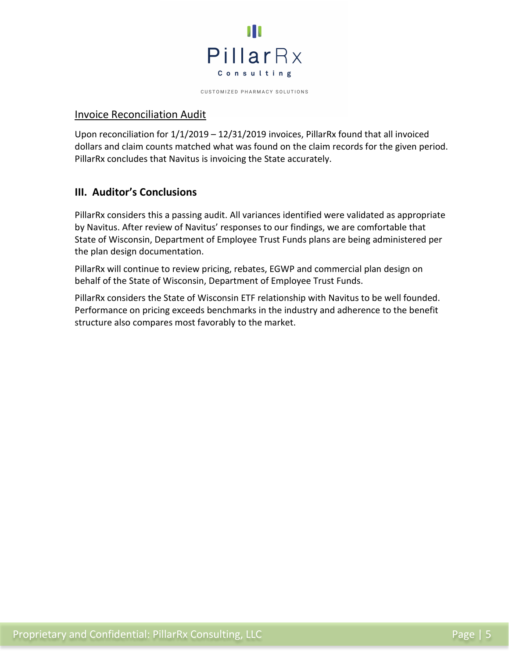

#### Invoice Reconciliation Audit

Upon reconciliation for  $1/1/2019 - 12/31/2019$  invoices, PillarRx found that all invoiced dollars and claim counts matched what was found on the claim records for the given period. PillarRx concludes that Navitus is invoicing the State accurately.

# **III. Auditor's Conclusions**

PillarRx considers this a passing audit. All variances identified were validated as appropriate by Navitus. After review of Navitus' responses to our findings, we are comfortable that State of Wisconsin, Department of Employee Trust Funds plans are being administered per the plan design documentation.

PillarRx will continue to review pricing, rebates, EGWP and commercial plan design on behalf of the State of Wisconsin, Department of Employee Trust Funds.

PillarRx considers the State of Wisconsin ETF relationship with Navitus to be well founded. Performance on pricing exceeds benchmarks in the industry and adherence to the benefit structure also compares most favorably to the market.